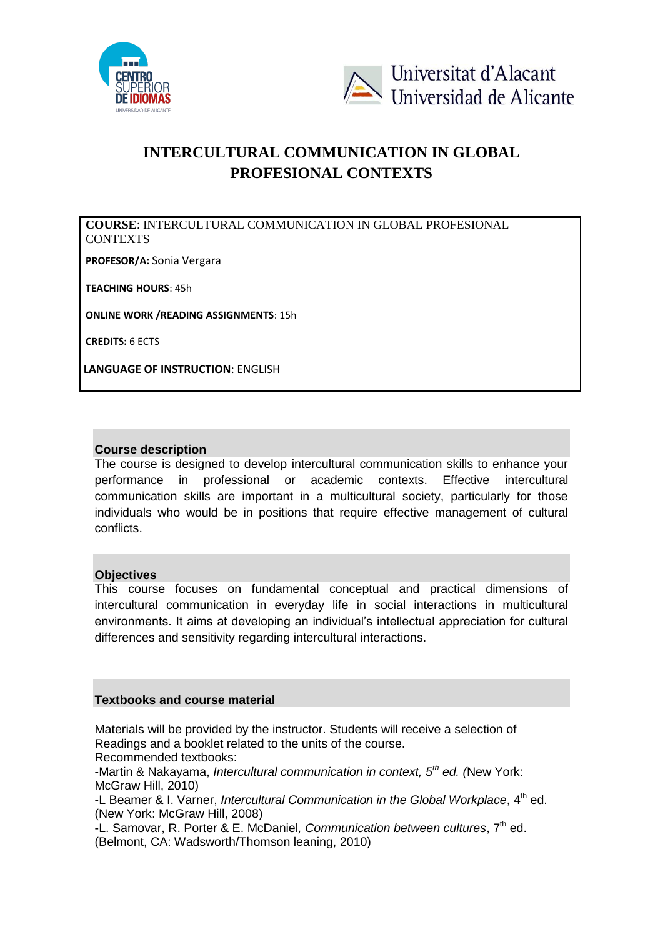



# **INTERCULTURAL COMMUNICATION IN GLOBAL PROFESIONAL CONTEXTS**

**COURSE**: INTERCULTURAL COMMUNICATION IN GLOBAL PROFESIONAL **CONTEXTS** 

**PROFESOR/A:** Sonia Vergara

**TEACHING HOURS**: 45h

**ONLINE WORK /READING ASSIGNMENTS**: 15h

**CREDITS:** 6 ECTS

**LANGUAGE OF INSTRUCTION**: ENGLISH

### **Course description**

The course is designed to develop intercultural communication skills to enhance your performance in professional or academic contexts. Effective intercultural communication skills are important in a multicultural society, particularly for those individuals who would be in positions that require effective management of cultural conflicts.

### **Objectives**

This course focuses on fundamental conceptual and practical dimensions of intercultural communication in everyday life in social interactions in multicultural environments. It aims at developing an individual's intellectual appreciation for cultural differences and sensitivity regarding intercultural interactions.

### **Textbooks and course material**

Materials will be provided by the instructor. Students will receive a selection of Readings and a booklet related to the units of the course.

Recommended textbooks:

-Martin & Nakayama, *Intercultural communication in context, 5th ed. (*New York: McGraw Hill, 2010)

-L Beamer & I. Varner, *Intercultural Communication in the Global Workplace*, 4<sup>th</sup> ed. (New York: McGraw Hill, 2008)

-L. Samovar, R. Porter & E. McDaniel*, Communication between cultures*, 7th ed. (Belmont, CA: Wadsworth/Thomson leaning, 2010)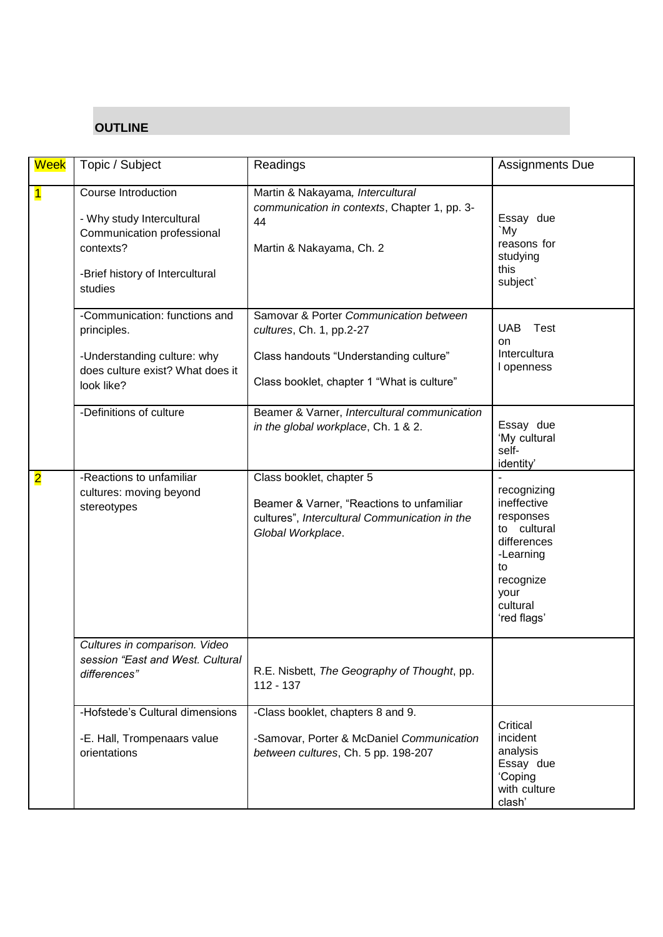## **OUTLINE**

| <b>Week</b>             | Topic / Subject                                                                                                                           | Readings                                                                                                                                                   | <b>Assignments Due</b>                                                                                                                   |
|-------------------------|-------------------------------------------------------------------------------------------------------------------------------------------|------------------------------------------------------------------------------------------------------------------------------------------------------------|------------------------------------------------------------------------------------------------------------------------------------------|
| $\overline{\mathbf{1}}$ | Course Introduction<br>- Why study Intercultural<br>Communication professional<br>contexts?<br>-Brief history of Intercultural<br>studies | Martin & Nakayama, Intercultural<br>communication in contexts, Chapter 1, pp. 3-<br>44<br>Martin & Nakayama, Ch. 2                                         | Essay due<br>`My<br>reasons for<br>studying<br>this<br>subject`                                                                          |
|                         | -Communication: functions and<br>principles.<br>-Understanding culture: why<br>does culture exist? What does it<br>look like?             | Samovar & Porter Communication between<br>cultures, Ch. 1, pp.2-27<br>Class handouts "Understanding culture"<br>Class booklet, chapter 1 "What is culture" | <b>UAB</b><br>Test<br><b>on</b><br>Intercultura<br>I openness                                                                            |
|                         | -Definitions of culture                                                                                                                   | Beamer & Varner, Intercultural communication<br>in the global workplace, Ch. 1 & 2.                                                                        | Essay due<br>'My cultural<br>self-<br>identity'                                                                                          |
| $\overline{\mathbf{2}}$ | -Reactions to unfamiliar<br>cultures: moving beyond<br>stereotypes                                                                        | Class booklet, chapter 5<br>Beamer & Varner, "Reactions to unfamiliar<br>cultures", Intercultural Communication in the<br>Global Workplace.                | recognizing<br>ineffective<br>responses<br>to cultural<br>differences<br>-Learning<br>to<br>recognize<br>your<br>cultural<br>'red flags' |
|                         | Cultures in comparison. Video<br>session "East and West. Cultural<br>differences"                                                         | R.E. Nisbett, The Geography of Thought, pp.<br>$112 - 137$                                                                                                 |                                                                                                                                          |
|                         | -Hofstede's Cultural dimensions<br>-E. Hall, Trompenaars value<br>orientations                                                            | -Class booklet, chapters 8 and 9.<br>-Samovar, Porter & McDaniel Communication<br>between cultures, Ch. 5 pp. 198-207                                      | Critical<br>incident<br>analysis<br>Essay due<br>'Coping<br>with culture<br>clash'                                                       |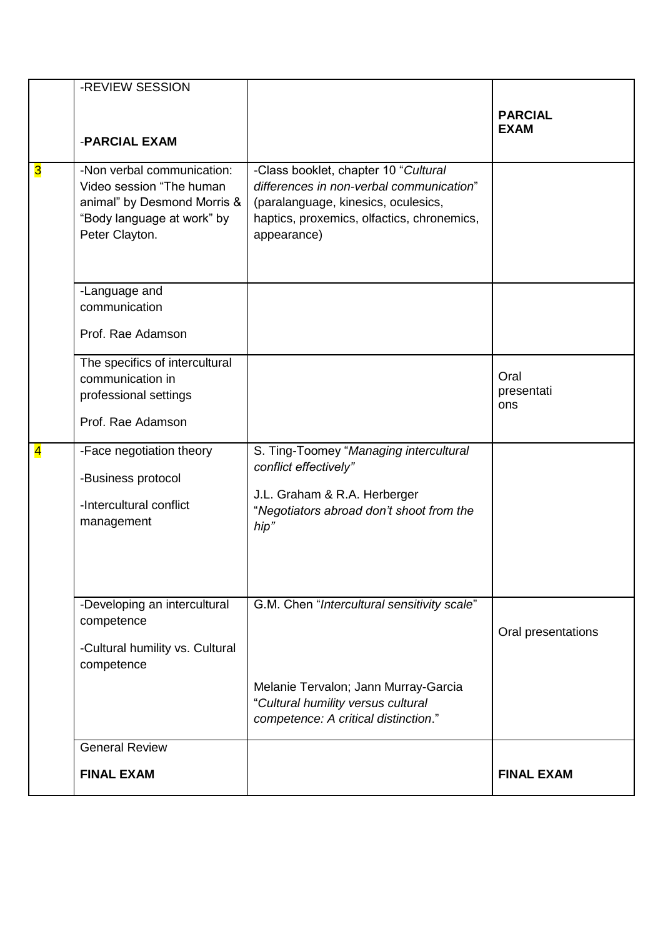|                         | -REVIEW SESSION                                                                                                                       |                                                                                                                                                                                      |                               |
|-------------------------|---------------------------------------------------------------------------------------------------------------------------------------|--------------------------------------------------------------------------------------------------------------------------------------------------------------------------------------|-------------------------------|
|                         | -PARCIAL EXAM                                                                                                                         |                                                                                                                                                                                      | <b>PARCIAL</b><br><b>EXAM</b> |
| <mark>ვ</mark>          | -Non verbal communication:<br>Video session "The human<br>animal" by Desmond Morris &<br>"Body language at work" by<br>Peter Clayton. | -Class booklet, chapter 10 "Cultural<br>differences in non-verbal communication"<br>(paralanguage, kinesics, oculesics,<br>haptics, proxemics, olfactics, chronemics,<br>appearance) |                               |
|                         | -Language and<br>communication<br>Prof. Rae Adamson                                                                                   |                                                                                                                                                                                      |                               |
|                         | The specifics of intercultural<br>communication in<br>professional settings<br>Prof. Rae Adamson                                      |                                                                                                                                                                                      | Oral<br>presentati<br>ons     |
| $\overline{\mathbf{4}}$ | -Face negotiation theory<br>-Business protocol<br>-Intercultural conflict<br>management                                               | S. Ting-Toomey "Managing intercultural<br>conflict effectively"<br>J.L. Graham & R.A. Herberger<br>"Negotiators abroad don't shoot from the<br>hip"                                  |                               |
|                         | -Developing an intercultural<br>competence<br>-Cultural humility vs. Cultural<br>competence                                           | G.M. Chen "Intercultural sensitivity scale"<br>Melanie Tervalon; Jann Murray-Garcia<br>"Cultural humility versus cultural<br>competence: A critical distinction."                    | Oral presentations            |
|                         | <b>General Review</b><br><b>FINAL EXAM</b>                                                                                            |                                                                                                                                                                                      | <b>FINAL EXAM</b>             |